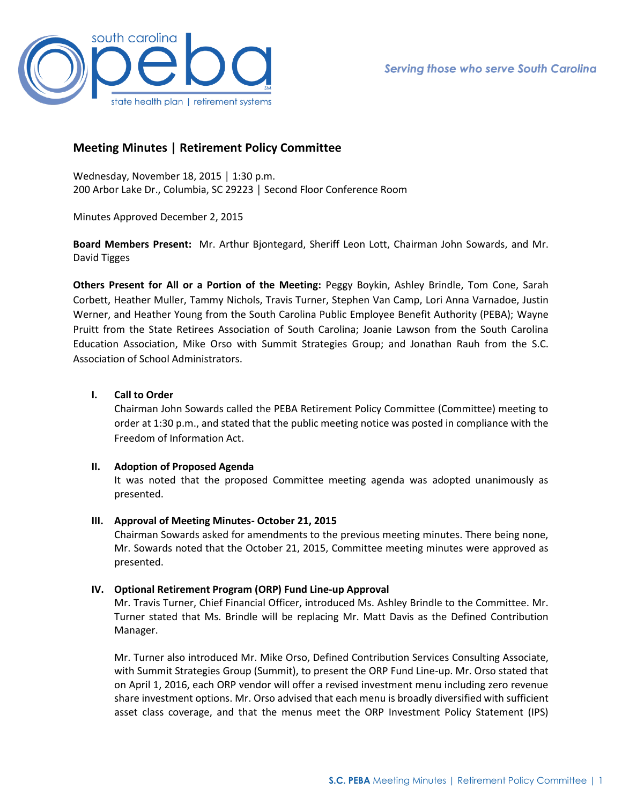

# **Meeting Minutes | Retirement Policy Committee**

Wednesday, November 18, 2015 │ 1:30 p.m. 200 Arbor Lake Dr., Columbia, SC 29223 │ Second Floor Conference Room

Minutes Approved December 2, 2015

**Board Members Present:** Mr. Arthur Bjontegard, Sheriff Leon Lott, Chairman John Sowards, and Mr. David Tigges

**Others Present for All or a Portion of the Meeting:** Peggy Boykin, Ashley Brindle, Tom Cone, Sarah Corbett, Heather Muller, Tammy Nichols, Travis Turner, Stephen Van Camp, Lori Anna Varnadoe, Justin Werner, and Heather Young from the South Carolina Public Employee Benefit Authority (PEBA); Wayne Pruitt from the State Retirees Association of South Carolina; Joanie Lawson from the South Carolina Education Association, Mike Orso with Summit Strategies Group; and Jonathan Rauh from the S.C. Association of School Administrators.

## **I. Call to Order**

Chairman John Sowards called the PEBA Retirement Policy Committee (Committee) meeting to order at 1:30 p.m., and stated that the public meeting notice was posted in compliance with the Freedom of Information Act.

### **II. Adoption of Proposed Agenda**

It was noted that the proposed Committee meeting agenda was adopted unanimously as presented.

### **III. Approval of Meeting Minutes- October 21, 2015**

Chairman Sowards asked for amendments to the previous meeting minutes. There being none, Mr. Sowards noted that the October 21, 2015, Committee meeting minutes were approved as presented.

## **IV. Optional Retirement Program (ORP) Fund Line-up Approval**

Mr. Travis Turner, Chief Financial Officer, introduced Ms. Ashley Brindle to the Committee. Mr. Turner stated that Ms. Brindle will be replacing Mr. Matt Davis as the Defined Contribution Manager.

Mr. Turner also introduced Mr. Mike Orso, Defined Contribution Services Consulting Associate, with Summit Strategies Group (Summit), to present the ORP Fund Line-up. Mr. Orso stated that on April 1, 2016, each ORP vendor will offer a revised investment menu including zero revenue share investment options. Mr. Orso advised that each menu is broadly diversified with sufficient asset class coverage, and that the menus meet the ORP Investment Policy Statement (IPS)